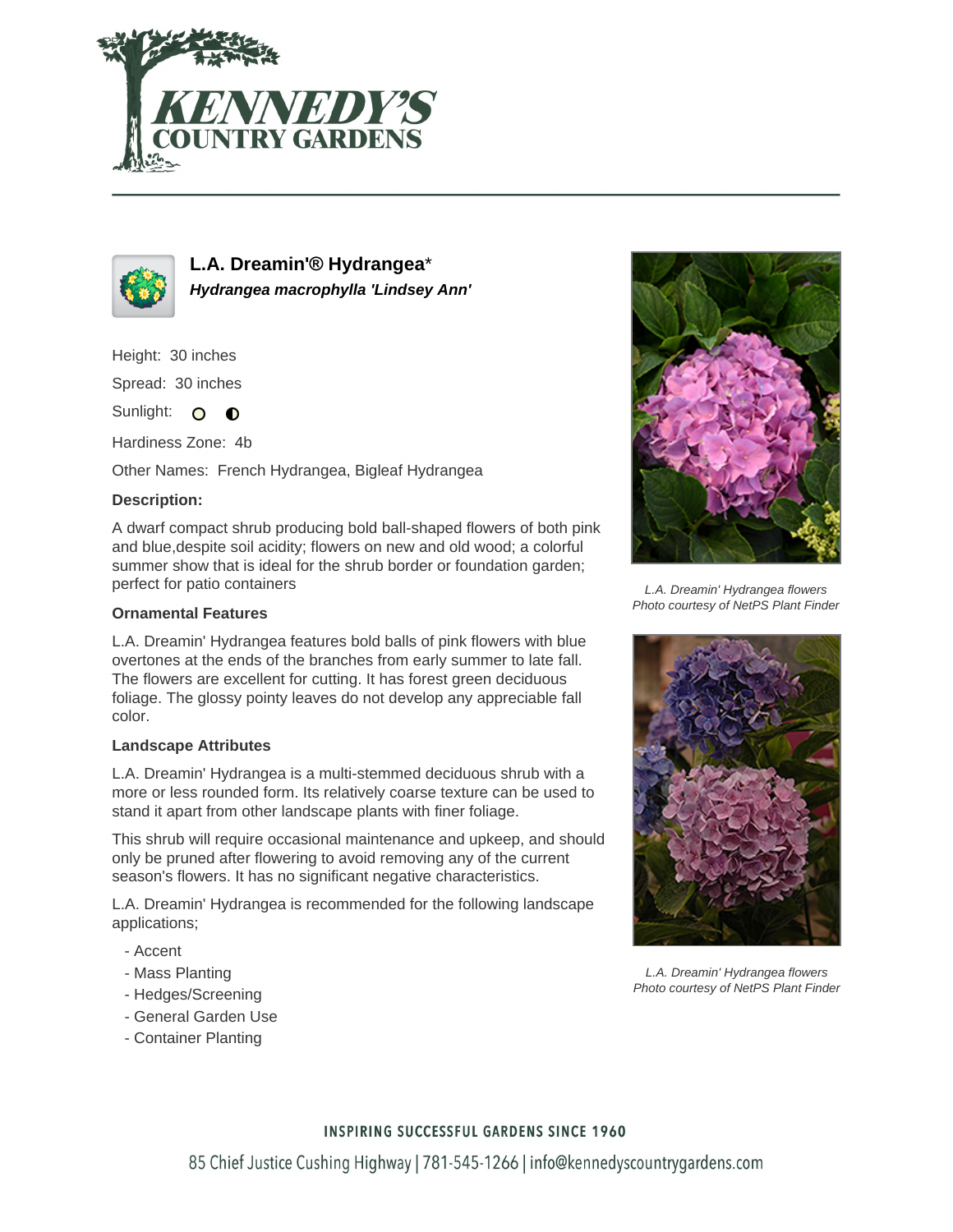



**L.A. Dreamin'® Hydrangea**\* **Hydrangea macrophylla 'Lindsey Ann'**

Height: 30 inches

Spread: 30 inches

Sunlight: O **O** 

Hardiness Zone: 4b

Other Names: French Hydrangea, Bigleaf Hydrangea

# **Description:**

A dwarf compact shrub producing bold ball-shaped flowers of both pink and blue,despite soil acidity; flowers on new and old wood; a colorful summer show that is ideal for the shrub border or foundation garden; perfect for patio containers

# **Ornamental Features**

L.A. Dreamin' Hydrangea features bold balls of pink flowers with blue overtones at the ends of the branches from early summer to late fall. The flowers are excellent for cutting. It has forest green deciduous foliage. The glossy pointy leaves do not develop any appreciable fall color.

### **Landscape Attributes**

L.A. Dreamin' Hydrangea is a multi-stemmed deciduous shrub with a more or less rounded form. Its relatively coarse texture can be used to stand it apart from other landscape plants with finer foliage.

This shrub will require occasional maintenance and upkeep, and should only be pruned after flowering to avoid removing any of the current season's flowers. It has no significant negative characteristics.

L.A. Dreamin' Hydrangea is recommended for the following landscape applications;

- Accent
- Mass Planting
- Hedges/Screening
- General Garden Use
- Container Planting



L.A. Dreamin' Hydrangea flowers Photo courtesy of NetPS Plant Finder



L.A. Dreamin' Hydrangea flowers Photo courtesy of NetPS Plant Finder

### **INSPIRING SUCCESSFUL GARDENS SINCE 1960**